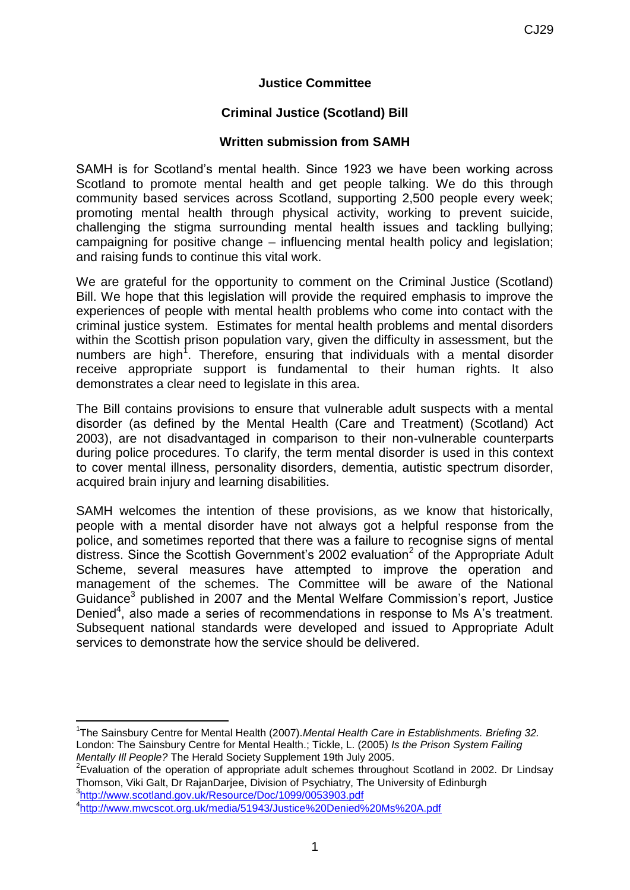### **Justice Committee**

## **Criminal Justice (Scotland) Bill**

#### **Written submission from SAMH**

SAMH is for Scotland's mental health. Since 1923 we have been working across Scotland to promote mental health and get people talking. We do this through community based services across Scotland, supporting 2,500 people every week; promoting mental health through physical activity, working to prevent suicide, challenging the stigma surrounding mental health issues and tackling bullying; campaigning for positive change – influencing mental health policy and legislation; and raising funds to continue this vital work.

We are grateful for the opportunity to comment on the Criminal Justice (Scotland) Bill. We hope that this legislation will provide the required emphasis to improve the experiences of people with mental health problems who come into contact with the criminal justice system. Estimates for mental health problems and mental disorders within the Scottish prison population vary, given the difficulty in assessment, but the numbers are high<sup>1</sup>. Therefore, ensuring that individuals with a mental disorder receive appropriate support is fundamental to their human rights. It also demonstrates a clear need to legislate in this area.

The Bill contains provisions to ensure that vulnerable adult suspects with a mental disorder (as defined by the Mental Health (Care and Treatment) (Scotland) Act 2003), are not disadvantaged in comparison to their non-vulnerable counterparts during police procedures. To clarify, the term mental disorder is used in this context to cover mental illness, personality disorders, dementia, autistic spectrum disorder, acquired brain injury and learning disabilities.

SAMH welcomes the intention of these provisions, as we know that historically, people with a mental disorder have not always got a helpful response from the police, and sometimes reported that there was a failure to recognise signs of mental distress. Since the Scottish Government's 2002 evaluation<sup>2</sup> of the Appropriate Adult Scheme, several measures have attempted to improve the operation and management of the schemes. The Committee will be aware of the National Guidance<sup>3</sup> published in 2007 and the Mental Welfare Commission's report, Justice Denied<sup>4</sup>, also made a series of recommendations in response to Ms A's treatment. Subsequent national standards were developed and issued to Appropriate Adult services to demonstrate how the service should be delivered.

1 The Sainsbury Centre for Mental Health (2007).*Mental Health Care in Establishments. Briefing 32.* London: The Sainsbury Centre for Mental Health.; Tickle, L. (2005) *Is the Prison System Failing Mentally Ill People?* The Herald Society Supplement 19th July 2005.

 $2$ Evaluation of the operation of appropriate adult schemes throughout Scotland in 2002. Dr Lindsay Thomson, Viki Galt, Dr RajanDarjee, Division of Psychiatry, The University of Edinburgh 3 <http://www.scotland.gov.uk/Resource/Doc/1099/0053903.pdf>

 $\overline{\phantom{a}}$ 

<sup>4</sup> <http://www.mwcscot.org.uk/media/51943/Justice%20Denied%20Ms%20A.pdf>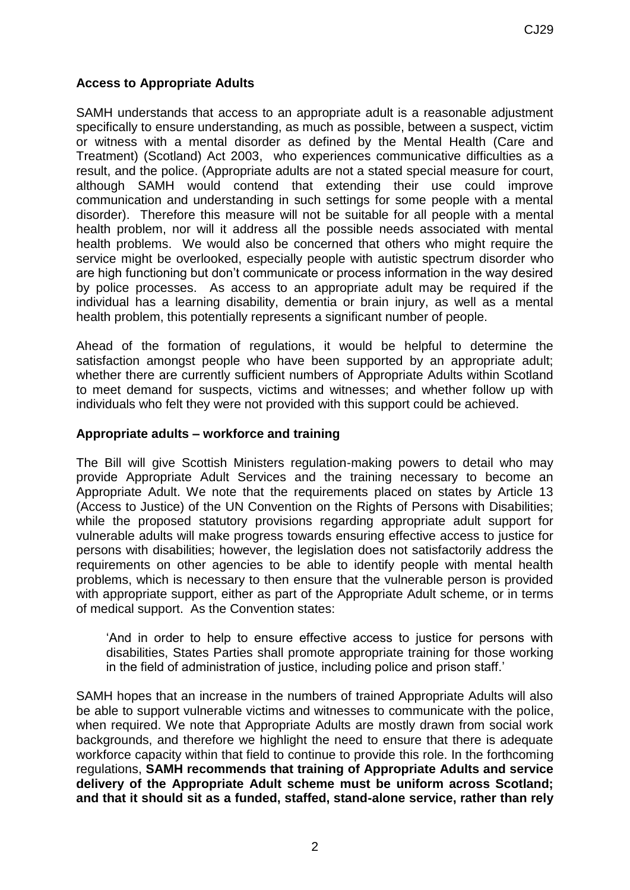# **Access to Appropriate Adults**

SAMH understands that access to an appropriate adult is a reasonable adjustment specifically to ensure understanding, as much as possible, between a suspect, victim or witness with a mental disorder as defined by the Mental Health (Care and Treatment) (Scotland) Act 2003, who experiences communicative difficulties as a result, and the police. (Appropriate adults are not a stated special measure for court, although SAMH would contend that extending their use could improve communication and understanding in such settings for some people with a mental disorder). Therefore this measure will not be suitable for all people with a mental health problem, nor will it address all the possible needs associated with mental health problems. We would also be concerned that others who might require the service might be overlooked, especially people with autistic spectrum disorder who are high functioning but don't communicate or process information in the way desired by police processes. As access to an appropriate adult may be required if the individual has a learning disability, dementia or brain injury, as well as a mental health problem, this potentially represents a significant number of people.

Ahead of the formation of regulations, it would be helpful to determine the satisfaction amongst people who have been supported by an appropriate adult; whether there are currently sufficient numbers of Appropriate Adults within Scotland to meet demand for suspects, victims and witnesses; and whether follow up with individuals who felt they were not provided with this support could be achieved.

## **Appropriate adults – workforce and training**

The Bill will give Scottish Ministers regulation-making powers to detail who may provide Appropriate Adult Services and the training necessary to become an Appropriate Adult. We note that the requirements placed on states by Article 13 (Access to Justice) of the UN Convention on the Rights of Persons with Disabilities; while the proposed statutory provisions regarding appropriate adult support for vulnerable adults will make progress towards ensuring effective access to justice for persons with disabilities; however, the legislation does not satisfactorily address the requirements on other agencies to be able to identify people with mental health problems, which is necessary to then ensure that the vulnerable person is provided with appropriate support, either as part of the Appropriate Adult scheme, or in terms of medical support. As the Convention states:

'And in order to help to ensure effective access to justice for persons with disabilities, States Parties shall promote appropriate training for those working in the field of administration of justice, including police and prison staff.'

SAMH hopes that an increase in the numbers of trained Appropriate Adults will also be able to support vulnerable victims and witnesses to communicate with the police, when required. We note that Appropriate Adults are mostly drawn from social work backgrounds, and therefore we highlight the need to ensure that there is adequate workforce capacity within that field to continue to provide this role. In the forthcoming regulations, **SAMH recommends that training of Appropriate Adults and service delivery of the Appropriate Adult scheme must be uniform across Scotland; and that it should sit as a funded, staffed, stand-alone service, rather than rely**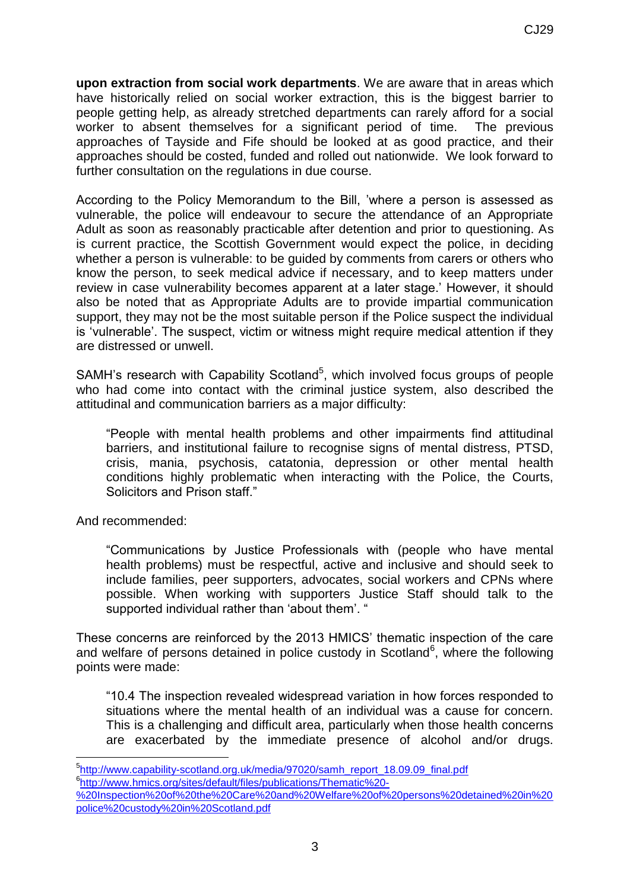**upon extraction from social work departments**. We are aware that in areas which have historically relied on social worker extraction, this is the biggest barrier to people getting help, as already stretched departments can rarely afford for a social worker to absent themselves for a significant period of time. The previous approaches of Tayside and Fife should be looked at as good practice, and their approaches should be costed, funded and rolled out nationwide. We look forward to further consultation on the regulations in due course.

According to the Policy Memorandum to the Bill, 'where a person is assessed as vulnerable, the police will endeavour to secure the attendance of an Appropriate Adult as soon as reasonably practicable after detention and prior to questioning. As is current practice, the Scottish Government would expect the police, in deciding whether a person is vulnerable: to be guided by comments from carers or others who know the person, to seek medical advice if necessary, and to keep matters under review in case vulnerability becomes apparent at a later stage.' However, it should also be noted that as Appropriate Adults are to provide impartial communication support, they may not be the most suitable person if the Police suspect the individual is 'vulnerable'. The suspect, victim or witness might require medical attention if they are distressed or unwell.

SAMH's research with Capability Scotland<sup>5</sup>, which involved focus groups of people who had come into contact with the criminal justice system, also described the attitudinal and communication barriers as a major difficulty:

"People with mental health problems and other impairments find attitudinal barriers, and institutional failure to recognise signs of mental distress, PTSD, crisis, mania, psychosis, catatonia, depression or other mental health conditions highly problematic when interacting with the Police, the Courts, Solicitors and Prison staff."

And recommended:

1

"Communications by Justice Professionals with (people who have mental health problems) must be respectful, active and inclusive and should seek to include families, peer supporters, advocates, social workers and CPNs where possible. When working with supporters Justice Staff should talk to the supported individual rather than 'about them'. "

These concerns are reinforced by the 2013 HMICS' thematic inspection of the care and welfare of persons detained in police custody in Scotland<sup>6</sup>, where the following points were made:

"10.4 The inspection revealed widespread variation in how forces responded to situations where the mental health of an individual was a cause for concern. This is a challenging and difficult area, particularly when those health concerns are exacerbated by the immediate presence of alcohol and/or drugs.

<sup>&</sup>lt;sup>5</sup>[http://www.capability-scotland.org.uk/media/97020/samh\\_report\\_18.09.09\\_final.pdf](http://www.capability-scotland.org.uk/media/97020/samh_report_18.09.09_final.pdf)

<sup>6</sup> [http://www.hmics.org/sites/default/files/publications/Thematic%20-](http://www.hmics.org/sites/default/files/publications/Thematic%20-%20Inspection%20of%20the%20Care%20and%20Welfare%20of%20persons%20detained%20in%20police%20custody%20in%20Scotland.pdf)

[<sup>%20</sup>Inspection%20of%20the%20Care%20and%20Welfare%20of%20persons%20detained%20in%20](http://www.hmics.org/sites/default/files/publications/Thematic%20-%20Inspection%20of%20the%20Care%20and%20Welfare%20of%20persons%20detained%20in%20police%20custody%20in%20Scotland.pdf) [police%20custody%20in%20Scotland.pdf](http://www.hmics.org/sites/default/files/publications/Thematic%20-%20Inspection%20of%20the%20Care%20and%20Welfare%20of%20persons%20detained%20in%20police%20custody%20in%20Scotland.pdf)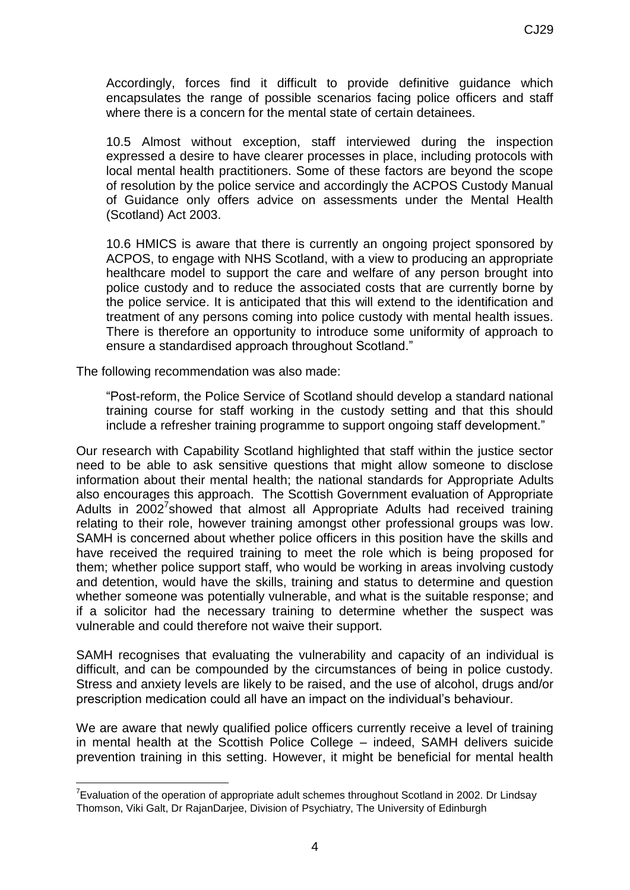Accordingly, forces find it difficult to provide definitive guidance which encapsulates the range of possible scenarios facing police officers and staff where there is a concern for the mental state of certain detainees.

10.5 Almost without exception, staff interviewed during the inspection expressed a desire to have clearer processes in place, including protocols with local mental health practitioners. Some of these factors are beyond the scope of resolution by the police service and accordingly the ACPOS Custody Manual of Guidance only offers advice on assessments under the Mental Health (Scotland) Act 2003.

10.6 HMICS is aware that there is currently an ongoing project sponsored by ACPOS, to engage with NHS Scotland, with a view to producing an appropriate healthcare model to support the care and welfare of any person brought into police custody and to reduce the associated costs that are currently borne by the police service. It is anticipated that this will extend to the identification and treatment of any persons coming into police custody with mental health issues. There is therefore an opportunity to introduce some uniformity of approach to ensure a standardised approach throughout Scotland."

The following recommendation was also made:

1

"Post-reform, the Police Service of Scotland should develop a standard national training course for staff working in the custody setting and that this should include a refresher training programme to support ongoing staff development."

Our research with Capability Scotland highlighted that staff within the justice sector need to be able to ask sensitive questions that might allow someone to disclose information about their mental health; the national standards for Appropriate Adults also encourages this approach. The Scottish Government evaluation of Appropriate Adults in 2002<sup>7</sup>showed that almost all Appropriate Adults had received training relating to their role, however training amongst other professional groups was low. SAMH is concerned about whether police officers in this position have the skills and have received the required training to meet the role which is being proposed for them; whether police support staff, who would be working in areas involving custody and detention, would have the skills, training and status to determine and question whether someone was potentially vulnerable, and what is the suitable response; and if a solicitor had the necessary training to determine whether the suspect was vulnerable and could therefore not waive their support.

SAMH recognises that evaluating the vulnerability and capacity of an individual is difficult, and can be compounded by the circumstances of being in police custody. Stress and anxiety levels are likely to be raised, and the use of alcohol, drugs and/or prescription medication could all have an impact on the individual's behaviour.

We are aware that newly qualified police officers currently receive a level of training in mental health at the Scottish Police College – indeed, SAMH delivers suicide prevention training in this setting. However, it might be beneficial for mental health

<sup>&</sup>lt;sup>7</sup> Evaluation of the operation of appropriate adult schemes throughout Scotland in 2002. Dr Lindsay Thomson, Viki Galt, Dr RajanDarjee, Division of Psychiatry, The University of Edinburgh